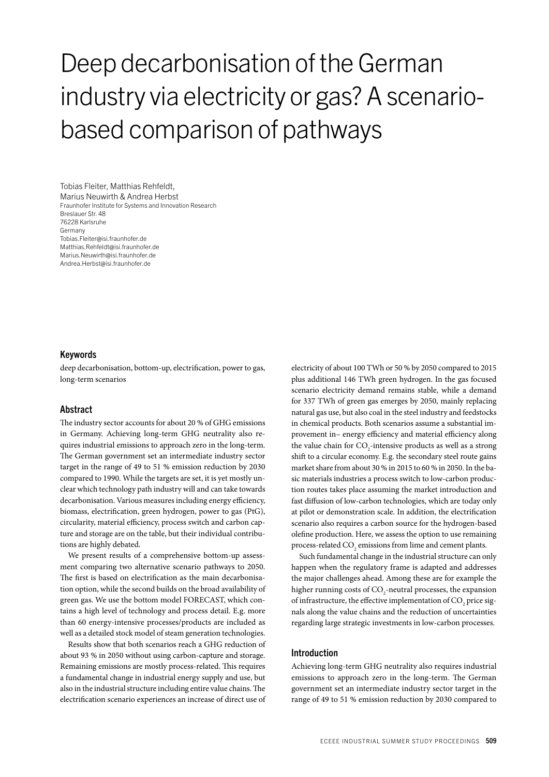# Deep decarbonisation of the German industry via electricity or gas? A scenariobased comparison of pathways

Tobias Fleiter, Matthias Rehfeldt, Marius Neuwirth & Andrea Herbst Fraunhofer Institute for Systems and Innovation Research Breslauer Str. 48 76228 Karlsruhe Germany Tobias.Fleiter@isi.fraunhofer.de Matthias.Rehfeldt@isi.fraunhofer.de Marius.Neuwirth@isi.fraunhofer.de Andrea.Herbst@isi.fraunhofer.de

### Keywords

deep decarbonisation, bottom-up, electrification, power to gas, long-term scenarios

## Abstract

The industry sector accounts for about 20 % of GHG emissions in Germany. Achieving long-term GHG neutrality also requires industrial emissions to approach zero in the long-term. The German government set an intermediate industry sector target in the range of 49 to 51 % emission reduction by 2030 compared to 1990. While the targets are set, it is yet mostly unclear which technology path industry will and can take towards decarbonisation. Various measures including energy efficiency, biomass, electrification, green hydrogen, power to gas (PtG), circularity, material efficiency, process switch and carbon capture and storage are on the table, but their individual contributions are highly debated.

We present results of a comprehensive bottom-up assessment comparing two alternative scenario pathways to 2050. The first is based on electrification as the main decarbonisation option, while the second builds on the broad availability of green gas. We use the bottom model FORECAST, which contains a high level of technology and process detail. E.g. more than 60 energy-intensive processes/products are included as well as a detailed stock model of steam generation technologies.

Results show that both scenarios reach a GHG reduction of about 93 % in 2050 without using carbon-capture and storage. Remaining emissions are mostly process-related. This requires a fundamental change in industrial energy supply and use, but also in the industrial structure including entire value chains. The electrification scenario experiences an increase of direct use of electricity of about 100 TWh or 50 % by 2050 compared to 2015 plus additional 146 TWh green hydrogen. In the gas focused scenario electricity demand remains stable, while a demand for 337 TWh of green gas emerges by 2050, mainly replacing natural gas use, but also coal in the steel industry and feedstocks in chemical products. Both scenarios assume a substantial improvement in– energy efficiency and material efficiency along the value chain for  $CO_2$ -intensive products as well as a strong shift to a circular economy. E.g. the secondary steel route gains market share from about 30 % in 2015 to 60 % in 2050. In the basic materials industries a process switch to low-carbon production routes takes place assuming the market introduction and fast diffusion of low-carbon technologies, which are today only at pilot or demonstration scale. In addition, the electrification scenario also requires a carbon source for the hydrogen-based olefine production. Here, we assess the option to use remaining process-related  $\mathrm{CO}_\mathrm{2}$  emissions from lime and cement plants.

Such fundamental change in the industrial structure can only happen when the regulatory frame is adapted and addresses the major challenges ahead. Among these are for example the higher running costs of  $\mathrm{CO}_2$ -neutral processes, the expansion of infrastructure, the effective implementation of  $\mathrm{CO}_2$  price signals along the value chains and the reduction of uncertainties regarding large strategic investments in low-carbon processes.

## Introduction

Achieving long-term GHG neutrality also requires industrial emissions to approach zero in the long-term. The German government set an intermediate industry sector target in the range of 49 to 51 % emission reduction by 2030 compared to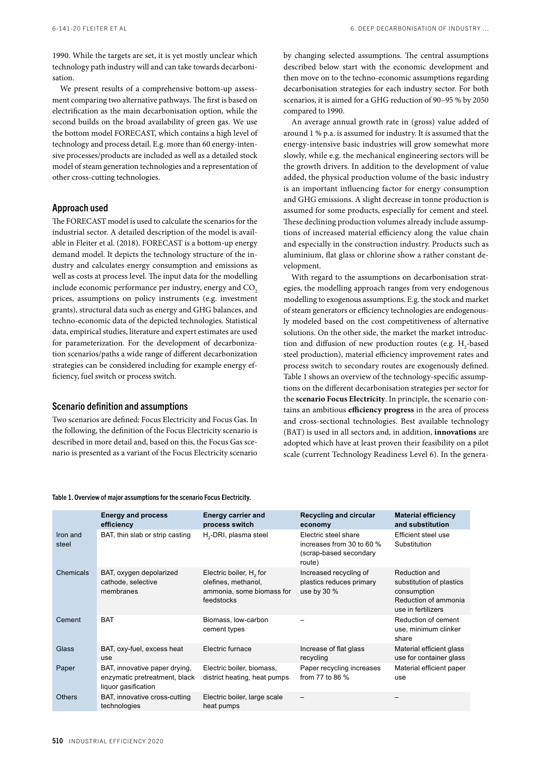1990. While the targets are set, it is yet mostly unclear which technology path industry will and can take towards decarbonisation.

We present results of a comprehensive bottom-up assessment comparing two alternative pathways. The first is based on electrification as the main decarbonisation option, while the second builds on the broad availability of green gas. We use the bottom model FORECAST, which contains a high level of technology and process detail. E.g. more than 60 energy-intensive processes/products are included as well as a detailed stock model of steam generation technologies and a representation of other cross-cutting technologies.

# Approach used

The FORECAST model is used to calculate the scenarios for the industrial sector. A detailed description of the model is available in Fleiter et al. (2018). FORECAST is a bottom-up energy demand model. It depicts the technology structure of the industry and calculates energy consumption and emissions as well as costs at process level. The input data for the modelling include economic performance per industry, energy and CO<sub>2</sub> prices, assumptions on policy instruments (e.g. investment grants), structural data such as energy and GHG balances, and techno-economic data of the depicted technologies. Statistical data, empirical studies, literature and expert estimates are used for parameterization. For the development of decarbonization scenarios/paths a wide range of different decarbonization strategies can be considered including for example energy efficiency, fuel switch or process switch.

## Scenario definition and assumptions

Two scenarios are defined: Focus Electricity and Focus Gas. In the following, the definition of the Focus Electricity scenario is described in more detail and, based on this, the Focus Gas scenario is presented as a variant of the Focus Electricity scenario by changing selected assumptions. The central assumptions described below start with the economic development and then move on to the techno-economic assumptions regarding decarbonisation strategies for each industry sector. For both scenarios, it is aimed for a GHG reduction of 90–95 % by 2050 compared to 1990.

An average annual growth rate in (gross) value added of around 1 % p.a. is assumed for industry. It is assumed that the energy-intensive basic industries will grow somewhat more slowly, while e.g. the mechanical engineering sectors will be the growth drivers. In addition to the development of value added, the physical production volume of the basic industry is an important influencing factor for energy consumption and GHG emissions. A slight decrease in tonne production is assumed for some products, especially for cement and steel. These declining production volumes already include assumptions of increased material efficiency along the value chain and especially in the construction industry. Products such as aluminium, flat glass or chlorine show a rather constant development.

With regard to the assumptions on decarbonisation strategies, the modelling approach ranges from very endogenous modelling to exogenous assumptions. E.g. the stock and market of steam generators or efficiency technologies are endogenously modeled based on the cost competitiveness of alternative solutions. On the other side, the market the market introduction and diffusion of new production routes (e.g.  $H_2$ -based steel production), material efficiency improvement rates and process switch to secondary routes are exogenously defined. Table 1 shows an overview of the technology-specific assumptions on the different decarbonisation strategies per sector for the **scenario Focus Electricity**. In principle, the scenario contains an ambitious **efficiency progress** in the area of process and cross-sectional technologies. Best available technology (BAT) is used in all sectors and, in addition, **innovations** are adopted which have at least proven their feasibility on a pilot scale (current Technology Readiness Level 6). In the genera-

|                   | <b>Energy and process</b><br>efficiency                                               | <b>Energy carrier and</b><br>process switch                                                           | Recycling and circular<br>economy                                                     | <b>Material efficiency</b><br>and substitution                                                         |
|-------------------|---------------------------------------------------------------------------------------|-------------------------------------------------------------------------------------------------------|---------------------------------------------------------------------------------------|--------------------------------------------------------------------------------------------------------|
| Iron and<br>steel | BAT, thin slab or strip casting                                                       | H <sub>2</sub> -DRI, plasma steel                                                                     | Electric steel share<br>increases from 30 to 60 %<br>(scrap-based secondary<br>route) | Efficient steel use<br>Substitution                                                                    |
| Chemicals         | BAT, oxygen depolarized<br>cathode, selective<br>membranes                            | Electric boiler, H <sub>2</sub> for<br>olefines, methanol,<br>ammonia, some biomass for<br>feedstocks | Increased recycling of<br>plastics reduces primary<br>use by 30 $%$                   | Reduction and<br>substitution of plastics<br>consumption<br>Reduction of ammonia<br>use in fertilizers |
| Cement            | <b>BAT</b>                                                                            | Biomass, low-carbon<br>cement types                                                                   |                                                                                       | Reduction of cement<br>use, minimum clinker<br>share                                                   |
| Glass             | BAT, oxy-fuel, excess heat<br>use                                                     | Electric furnace                                                                                      | Increase of flat glass<br>recycling                                                   | Material efficient glass<br>use for container glass                                                    |
| Paper             | BAT, innovative paper drying,<br>enzymatic pretreatment, black<br>liquor gasification | Electric boiler, biomass,<br>district heating, heat pumps                                             | Paper recycling increases<br>from 77 to 86 %                                          | Material efficient paper<br>use                                                                        |
| <b>Others</b>     | BAT, innovative cross-cutting<br>technologies                                         | Electric boiler, large scale<br>heat pumps                                                            |                                                                                       |                                                                                                        |

Table 1. Overview of major assumptions for the scenario Focus Electricity.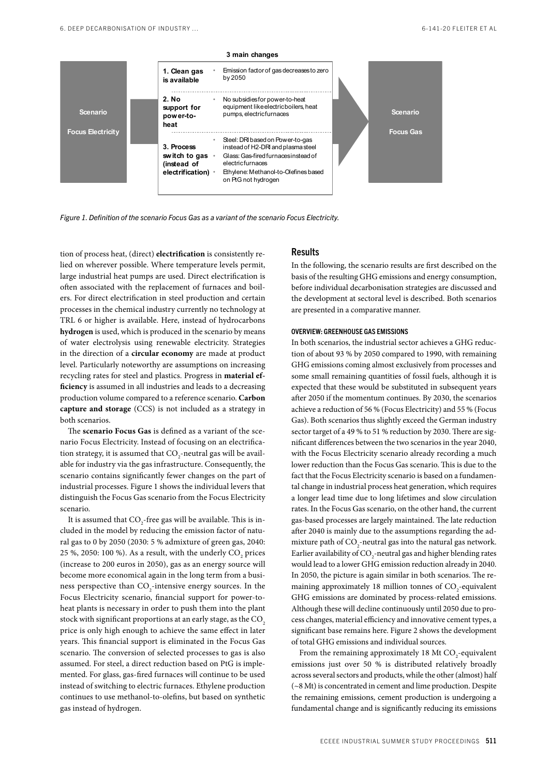

*Figure 1. Definition of the scenario Focus Gas as a variant of the scenario Focus Electricity.*

tion of process heat, (direct) **electrification** is consistently relied on wherever possible. Where temperature levels permit, large industrial heat pumps are used. Direct electrification is often associated with the replacement of furnaces and boilers. For direct electrification in steel production and certain processes in the chemical industry currently no technology at TRL 6 or higher is available. Here, instead of hydrocarbons **hydrogen** is used, which is produced in the scenario by means of water electrolysis using renewable electricity. Strategies in the direction of a **circular economy** are made at product level. Particularly noteworthy are assumptions on increasing recycling rates for steel and plastics. Progress in **material efficiency** is assumed in all industries and leads to a decreasing production volume compared to a reference scenario. **Carbon capture and storage** (CCS) is not included as a strategy in both scenarios.

The **scenario Focus Gas** is defined as a variant of the scenario Focus Electricity. Instead of focusing on an electrification strategy, it is assumed that  $\mathrm{CO}_2$ -neutral gas will be available for industry via the gas infrastructure. Consequently, the scenario contains significantly fewer changes on the part of industrial processes. Figure 1 shows the individual levers that distinguish the Focus Gas scenario from the Focus Electricity scenario.

It is assumed that  $\mathrm{CO}_\text{2}\text{-}$ free gas will be available. This is included in the model by reducing the emission factor of natural gas to 0 by 2050 (2030: 5 % admixture of green gas, 2040: 25 %, 2050: 100 %). As a result, with the underly  $\mathrm{CO}_2$  prices (increase to 200 euros in 2050), gas as an energy source will become more economical again in the long term from a business perspective than  $CO_2$ -intensive energy sources. In the Focus Electricity scenario, financial support for power-toheat plants is necessary in order to push them into the plant stock with significant proportions at an early stage, as the  $CO<sub>2</sub>$ price is only high enough to achieve the same effect in later years. This financial support is eliminated in the Focus Gas scenario. The conversion of selected processes to gas is also assumed. For steel, a direct reduction based on PtG is implemented. For glass, gas-fired furnaces will continue to be used instead of switching to electric furnaces. Ethylene production continues to use methanol-to-olefins, but based on synthetic gas instead of hydrogen.

## Results

In the following, the scenario results are first described on the basis of the resulting GHG emissions and energy consumption, before individual decarbonisation strategies are discussed and the development at sectoral level is described. Both scenarios are presented in a comparative manner.

#### OVERVIEW: GREENHOUSE GAS EMISSIONS

In both scenarios, the industrial sector achieves a GHG reduction of about 93 % by 2050 compared to 1990, with remaining GHG emissions coming almost exclusively from processes and some small remaining quantities of fossil fuels, although it is expected that these would be substituted in subsequent years after 2050 if the momentum continues. By 2030, the scenarios achieve a reduction of 56 % (Focus Electricity) and 55 % (Focus Gas). Both scenarios thus slightly exceed the German industry sector target of a 49 % to 51 % reduction by 2030. There are significant differences between the two scenarios in the year 2040, with the Focus Electricity scenario already recording a much lower reduction than the Focus Gas scenario. This is due to the fact that the Focus Electricity scenario is based on a fundamental change in industrial process heat generation, which requires a longer lead time due to long lifetimes and slow circulation rates. In the Focus Gas scenario, on the other hand, the current gas-based processes are largely maintained. The late reduction after 2040 is mainly due to the assumptions regarding the admixture path of  $\text{CO}_2$ -neutral gas into the natural gas network. Earlier availability of CO<sub>2</sub>-neutral gas and higher blending rates would lead to a lower GHG emission reduction already in 2040. In 2050, the picture is again similar in both scenarios. The remaining approximately 18 million tonnes of  $CO_2$ -equivalent GHG emissions are dominated by process-related emissions. Although these will decline continuously until 2050 due to process changes, material efficiency and innovative cement types, a significant base remains here. Figure 2 shows the development of total GHG emissions and individual sources.

From the remaining approximately 18 Mt  $CO_2$ -equivalent emissions just over 50 % is distributed relatively broadly across several sectors and products, while the other (almost) half (~8 Mt) is concentrated in cement and lime production. Despite the remaining emissions, cement production is undergoing a fundamental change and is significantly reducing its emissions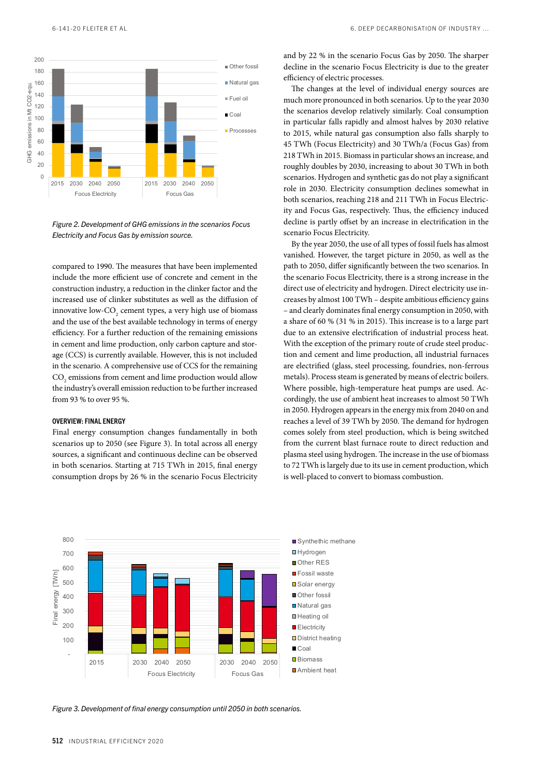

*Figure 2. Development of GHG emissions in the scenarios Focus Electricity and Focus Gas by emission source.*

compared to 1990. The measures that have been implemented include the more efficient use of concrete and cement in the construction industry, a reduction in the clinker factor and the increased use of clinker substitutes as well as the diffusion of innovative low-CO<sub>2</sub> cement types, a very high use of biomass and the use of the best available technology in terms of energy efficiency. For a further reduction of the remaining emissions in cement and lime production, only carbon capture and storage (CCS) is currently available. However, this is not included in the scenario. A comprehensive use of CCS for the remaining  $\mathrm{CO}_2$  emissions from cement and lime production would allow the industry's overall emission reduction to be further increased from 93 % to over 95 %.

#### OVERVIEW: FINAL ENERGY

Final energy consumption changes fundamentally in both scenarios up to 2050 (see Figure 3). In total across all energy sources, a significant and continuous decline can be observed in both scenarios. Starting at 715 TWh in 2015, final energy consumption drops by 26 % in the scenario Focus Electricity and by 22 % in the scenario Focus Gas by 2050. The sharper decline in the scenario Focus Electricity is due to the greater efficiency of electric processes.

The changes at the level of individual energy sources are much more pronounced in both scenarios. Up to the year 2030 the scenarios develop relatively similarly. Coal consumption in particular falls rapidly and almost halves by 2030 relative to 2015, while natural gas consumption also falls sharply to 45 TWh (Focus Electricity) and 30 TWh/a (Focus Gas) from 218 TWh in 2015. Biomass in particular shows an increase, and roughly doubles by 2030, increasing to about 30 TWh in both scenarios. Hydrogen and synthetic gas do not play a significant role in 2030. Electricity consumption declines somewhat in both scenarios, reaching 218 and 211 TWh in Focus Electricity and Focus Gas, respectively. Thus, the efficiency induced decline is partly offset by an increase in electrification in the scenario Focus Electricity.

By the year 2050, the use of all types of fossil fuels has almost vanished. However, the target picture in 2050, as well as the path to 2050, differ significantly between the two scenarios. In the scenario Focus Electricity, there is a strong increase in the direct use of electricity and hydrogen. Direct electricity use increases by almost 100 TWh – despite ambitious efficiency gains – and clearly dominates final energy consumption in 2050, with a share of 60 % (31 % in 2015). This increase is to a large part due to an extensive electrification of industrial process heat. With the exception of the primary route of crude steel production and cement and lime production, all industrial furnaces are electrified (glass, steel processing, foundries, non-ferrous metals). Process steam is generated by means of electric boilers. Where possible, high-temperature heat pumps are used. Accordingly, the use of ambient heat increases to almost 50 TWh in 2050. Hydrogen appears in the energy mix from 2040 on and reaches a level of 39 TWh by 2050. The demand for hydrogen comes solely from steel production, which is being switched from the current blast furnace route to direct reduction and plasma steel using hydrogen. The increase in the use of biomass to 72 TWh is largely due to its use in cement production, which is well-placed to convert to biomass combustion.



*Figure 3. Development of final energy consumption until 2050 in both scenarios.*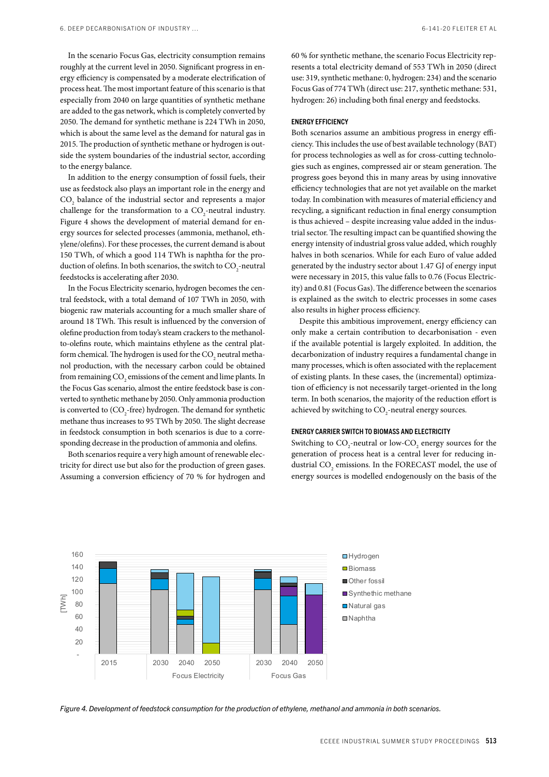In the scenario Focus Gas, electricity consumption remains roughly at the current level in 2050. Significant progress in energy efficiency is compensated by a moderate electrification of process heat. The most important feature of this scenario is that especially from 2040 on large quantities of synthetic methane are added to the gas network, which is completely converted by 2050. The demand for synthetic methane is 224 TWh in 2050, which is about the same level as the demand for natural gas in 2015. The production of synthetic methane or hydrogen is outside the system boundaries of the industrial sector, according to the energy balance.

In addition to the energy consumption of fossil fuels, their use as feedstock also plays an important role in the energy and  $CO<sub>2</sub>$  balance of the industrial sector and represents a major challenge for the transformation to a  $CO_2$ -neutral industry. Figure 4 shows the development of material demand for energy sources for selected processes (ammonia, methanol, ethylene/olefins). For these processes, the current demand is about 150 TWh, of which a good 114 TWh is naphtha for the production of olefins. In both scenarios, the switch to  $\mathrm{CO}_2$ -neutral feedstocks is accelerating after 2030.

In the Focus Electricity scenario, hydrogen becomes the central feedstock, with a total demand of 107 TWh in 2050, with biogenic raw materials accounting for a much smaller share of around 18 TWh. This result is influenced by the conversion of olefine production from today's steam crackers to the methanolto-olefins route, which maintains ethylene as the central platform chemical. The hydrogen is used for the  $\mathrm{CO}_2$  neutral methanol production, with the necessary carbon could be obtained from remaining  $\mathrm{CO}_\mathrm{2}$  emissions of the cement and lime plants. In the Focus Gas scenario, almost the entire feedstock base is converted to synthetic methane by 2050. Only ammonia production is converted to  ${\rm (CO_{_2}}$ -free) hydrogen. The demand for synthetic methane thus increases to 95 TWh by 2050. The slight decrease in feedstock consumption in both scenarios is due to a corresponding decrease in the production of ammonia and olefins.

Both scenarios require a very high amount of renewable electricity for direct use but also for the production of green gases. Assuming a conversion efficiency of 70 % for hydrogen and 60 % for synthetic methane, the scenario Focus Electricity represents a total electricity demand of 553 TWh in 2050 (direct use: 319, synthetic methane: 0, hydrogen: 234) and the scenario Focus Gas of 774 TWh (direct use: 217, synthetic methane: 531, hydrogen: 26) including both final energy and feedstocks.

#### ENERGY EFFICIENCY

Both scenarios assume an ambitious progress in energy efficiency. This includes the use of best available technology (BAT) for process technologies as well as for cross-cutting technologies such as engines, compressed air or steam generation. The progress goes beyond this in many areas by using innovative efficiency technologies that are not yet available on the market today. In combination with measures of material efficiency and recycling, a significant reduction in final energy consumption is thus achieved – despite increasing value added in the industrial sector. The resulting impact can be quantified showing the energy intensity of industrial gross value added, which roughly halves in both scenarios. While for each Euro of value added generated by the industry sector about 1.47 GJ of energy input were necessary in 2015, this value falls to 0.76 (Focus Electricity) and 0.81 (Focus Gas). The difference between the scenarios is explained as the switch to electric processes in some cases also results in higher process efficiency.

Despite this ambitious improvement, energy efficiency can only make a certain contribution to decarbonisation - even if the available potential is largely exploited. In addition, the decarbonization of industry requires a fundamental change in many processes, which is often associated with the replacement of existing plants. In these cases, the (incremental) optimization of efficiency is not necessarily target-oriented in the long term. In both scenarios, the majority of the reduction effort is achieved by switching to  $\mathrm{CO}_2$ -neutral energy sources.

#### ENERGY CARRIER SWITCH TO BIOMASS AND ELECTRICITY

Switching to  $\text{CO}_2$ -neutral or low- $\text{CO}_2$  energy sources for the generation of process heat is a central lever for reducing industrial  $\mathrm{CO}_2$  emissions. In the FORECAST model, the use of energy sources is modelled endogenously on the basis of the



*Figure 4. Development of feedstock consumption for the production of ethylene, methanol and ammonia in both scenarios.*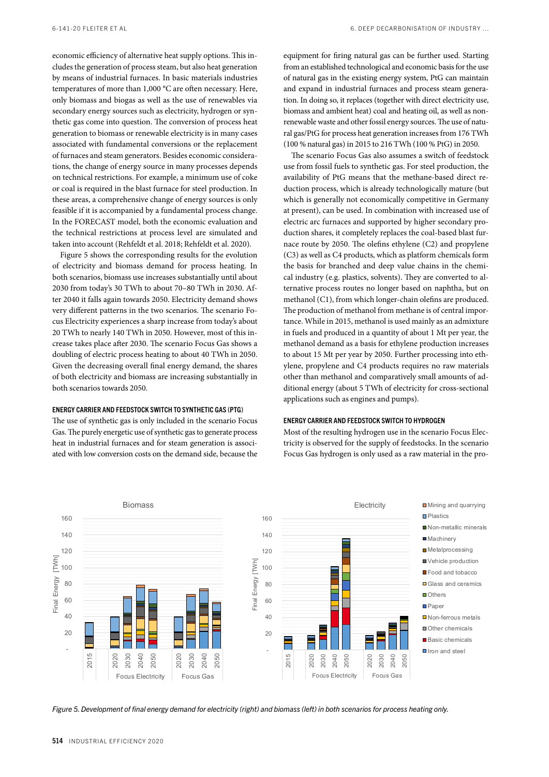economic efficiency of alternative heat supply options. This includes the generation of process steam, but also heat generation by means of industrial furnaces. In basic materials industries temperatures of more than 1,000 °C are often necessary. Here, only biomass and biogas as well as the use of renewables via secondary energy sources such as electricity, hydrogen or synthetic gas come into question. The conversion of process heat generation to biomass or renewable electricity is in many cases associated with fundamental conversions or the replacement of furnaces and steam generators. Besides economic considerations, the change of energy source in many processes depends on technical restrictions. For example, a minimum use of coke or coal is required in the blast furnace for steel production. In these areas, a comprehensive change of energy sources is only feasible if it is accompanied by a fundamental process change. In the FORECAST model, both the economic evaluation and the technical restrictions at process level are simulated and taken into account (Rehfeldt et al. 2018; Rehfeldt et al. 2020).

Figure 5 shows the corresponding results for the evolution of electricity and biomass demand for process heating. In both scenarios, biomass use increases substantially until about 2030 from today's 30 TWh to about 70–80 TWh in 2030. After 2040 it falls again towards 2050. Electricity demand shows very different patterns in the two scenarios. The scenario Focus Electricity experiences a sharp increase from today's about 20 TWh to nearly 140 TWh in 2050. However, most of this increase takes place after 2030. The scenario Focus Gas shows a doubling of electric process heating to about 40 TWh in 2050. Given the decreasing overall final energy demand, the shares of both electricity and biomass are increasing substantially in both scenarios towards 2050.

#### ENERGY CARRIER AND FEEDSTOCK SWITCH TO SYNTHETIC GAS (PTG)

The use of synthetic gas is only included in the scenario Focus Gas. The purely energetic use of synthetic gas to generate process heat in industrial furnaces and for steam generation is associated with low conversion costs on the demand side, because the equipment for firing natural gas can be further used. Starting from an established technological and economic basis for the use of natural gas in the existing energy system, PtG can maintain and expand in industrial furnaces and process steam generation. In doing so, it replaces (together with direct electricity use, biomass and ambient heat) coal and heating oil, as well as nonrenewable waste and other fossil energy sources. The use of natural gas/PtG for process heat generation increases from 176 TWh (100 % natural gas) in 2015 to 216 TWh (100 % PtG) in 2050.

The scenario Focus Gas also assumes a switch of feedstock use from fossil fuels to synthetic gas. For steel production, the availability of PtG means that the methane-based direct reduction process, which is already technologically mature (but which is generally not economically competitive in Germany at present), can be used. In combination with increased use of electric arc furnaces and supported by higher secondary production shares, it completely replaces the coal-based blast furnace route by 2050. The olefins ethylene (C2) and propylene (C3) as well as C4 products, which as platform chemicals form the basis for branched and deep value chains in the chemical industry (e.g. plastics, solvents). They are converted to alternative process routes no longer based on naphtha, but on methanol (C1), from which longer-chain olefins are produced. The production of methanol from methane is of central importance. While in 2015, methanol is used mainly as an admixture in fuels and produced in a quantity of about 1 Mt per year, the methanol demand as a basis for ethylene production increases to about 15 Mt per year by 2050. Further processing into ethylene, propylene and C4 products requires no raw materials other than methanol and comparatively small amounts of additional energy (about 5 TWh of electricity for cross-sectional applications such as engines and pumps).

## ENERGY CARRIER AND FEEDSTOCK SWITCH TO HYDROGEN

Most of the resulting hydrogen use in the scenario Focus Electricity is observed for the supply of feedstocks. In the scenario Focus Gas hydrogen is only used as a raw material in the pro-



*Figure 5. Development of final energy demand for electricity (right) and biomass (left) in both scenarios for process heating only.*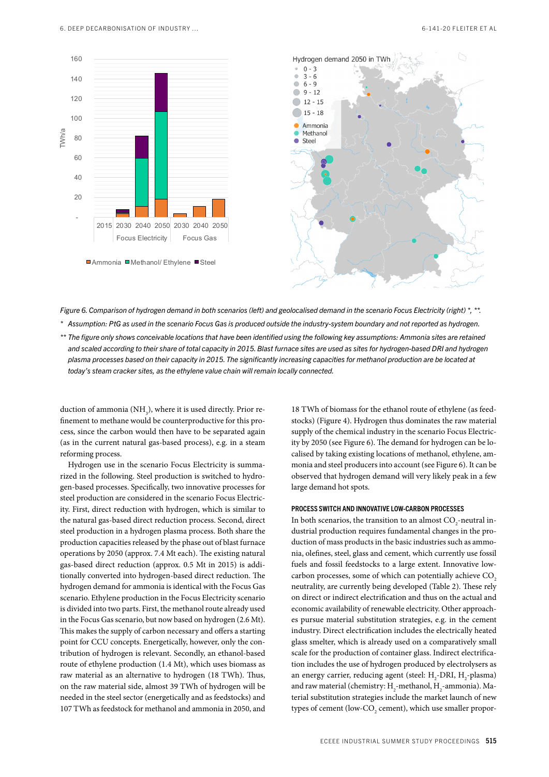

*Figure 6. Comparison of hydrogen demand in both scenarios (left) and geolocalised demand in the scenario Focus Electricity (right) \*, \*\*.*

*\* Assumption: PtG as used in the scenario Focus Gas is produced outside the industry-system boundary and not reported as hydrogen.*

*\*\* The figure only shows conceivable locations that have been identified using the following key assumptions: Ammonia sites are retained and scaled according to their share of total capacity in 2015. Blast furnace sites are used as sites for hydrogen-based DRI and hydrogen plasma processes based on their capacity in 2015. The significantly increasing capacities for methanol production are be located at today's steam cracker sites, as the ethylene value chain will remain locally connected.*

duction of ammonia  $(\text{NH}_3)$ , where it is used directly. Prior refinement to methane would be counterproductive for this process, since the carbon would then have to be separated again (as in the current natural gas-based process), e.g. in a steam reforming process.

Hydrogen use in the scenario Focus Electricity is summarized in the following. Steel production is switched to hydrogen-based processes. Specifically, two innovative processes for steel production are considered in the scenario Focus Electricity. First, direct reduction with hydrogen, which is similar to the natural gas-based direct reduction process. Second, direct steel production in a hydrogen plasma process. Both share the production capacities released by the phase out of blast furnace operations by 2050 (approx. 7.4 Mt each). The existing natural gas-based direct reduction (approx. 0.5 Mt in 2015) is additionally converted into hydrogen-based direct reduction. The hydrogen demand for ammonia is identical with the Focus Gas scenario. Ethylene production in the Focus Electricity scenario is divided into two parts. First, the methanol route already used in the Focus Gas scenario, but now based on hydrogen (2.6 Mt). This makes the supply of carbon necessary and offers a starting point for CCU concepts. Energetically, however, only the contribution of hydrogen is relevant. Secondly, an ethanol-based route of ethylene production (1.4 Mt), which uses biomass as raw material as an alternative to hydrogen (18 TWh). Thus, on the raw material side, almost 39 TWh of hydrogen will be needed in the steel sector (energetically and as feedstocks) and 107 TWh as feedstock for methanol and ammonia in 2050, and

18 TWh of biomass for the ethanol route of ethylene (as feedstocks) (Figure 4). Hydrogen thus dominates the raw material supply of the chemical industry in the scenario Focus Electricity by 2050 (see Figure 6). The demand for hydrogen can be localised by taking existing locations of methanol, ethylene, ammonia and steel producers into account (see Figure 6). It can be observed that hydrogen demand will very likely peak in a few large demand hot spots.

#### PROCESS SWITCH AND INNOVATIVE LOW-CARBON PROCESSES

In both scenarios, the transition to an almost  $CO_2$ -neutral industrial production requires fundamental changes in the production of mass products in the basic industries such as ammonia, olefines, steel, glass and cement, which currently use fossil fuels and fossil feedstocks to a large extent. Innovative lowcarbon processes, some of which can potentially achieve CO<sub>2</sub> neutrality, are currently being developed (Table 2). These rely on direct or indirect electrification and thus on the actual and economic availability of renewable electricity. Other approaches pursue material substitution strategies, e.g. in the cement industry. Direct electrification includes the electrically heated glass smelter, which is already used on a comparatively small scale for the production of container glass. Indirect electrification includes the use of hydrogen produced by electrolysers as an energy carrier, reducing agent (steel:  $H_2$ -DRI,  $H_2$ -plasma) and raw material (chemistry:  $H_2$ -methanol,  $H_2$ -ammonia). Material substitution strategies include the market launch of new types of cement (low-CO<sub>2</sub> cement), which use smaller propor-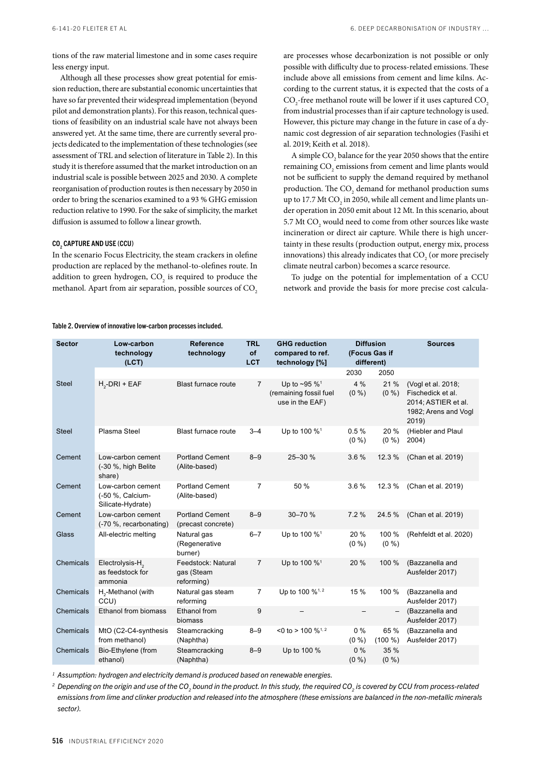tions of the raw material limestone and in some cases require less energy input.

Although all these processes show great potential for emission reduction, there are substantial economic uncertainties that have so far prevented their widespread implementation (beyond pilot and demonstration plants). For this reason, technical questions of feasibility on an industrial scale have not always been answered yet. At the same time, there are currently several projects dedicated to the implementation of these technologies (see assessment of TRL and selection of literature in Table 2). In this study it is therefore assumed that the market introduction on an industrial scale is possible between 2025 and 2030. A complete reorganisation of production routes is then necessary by 2050 in order to bring the scenarios examined to a 93 % GHG emission reduction relative to 1990. For the sake of simplicity, the market diffusion is assumed to follow a linear growth.

## CO<sub>2</sub> CAPTURE AND USE (CCU)

In the scenario Focus Electricity, the steam crackers in olefine production are replaced by the methanol-to-olefines route. In addition to green hydrogen,  $\mathrm{CO}_2$  is required to produce the methanol. Apart from air separation, possible sources of CO<sub>2</sub>

## Table 2. Overview of innovative low-carbon processes included.

are processes whose decarbonization is not possible or only possible with difficulty due to process-related emissions. These include above all emissions from cement and lime kilns. According to the current status, it is expected that the costs of a  $\mathrm{CO}_2$ -free methanol route will be lower if it uses captured  $\mathrm{CO}_2$ from industrial processes than if air capture technology is used. However, this picture may change in the future in case of a dynamic cost degression of air separation technologies (Fasihi et al. 2019; Keith et al. 2018).

A simple  $\mathrm{CO}_2$  balance for the year 2050 shows that the entire remaining  $\mathrm{CO}_\mathrm{2}$  emissions from cement and lime plants would not be sufficient to supply the demand required by methanol production. The  $\mathrm{CO}_2$  demand for methanol production sums up to 17.7 Mt  $\mathrm{CO}_2$  in 2050, while all cement and lime plants under operation in 2050 emit about 12 Mt. In this scenario, about 5.7 Mt  $\mathrm{CO}_2$  would need to come from other sources like waste incineration or direct air capture. While there is high uncertainty in these results (production output, energy mix, process innovations) this already indicates that  $\mathrm{CO}_2$  (or more precisely climate neutral carbon) becomes a scarce resource.

To judge on the potential for implementation of a CCU network and provide the basis for more precise cost calcula-

| <b>Sector</b> | Low-carbon<br>technology<br>(ICT)                          | <b>Reference</b><br>technology                 | <b>TRL</b><br>of<br><b>LCT</b> | <b>GHG reduction</b><br>compared to ref.<br>technology [%]                | <b>Diffusion</b><br>(Focus Gas if<br>different) |                  | <b>Sources</b>                                                                                  |
|---------------|------------------------------------------------------------|------------------------------------------------|--------------------------------|---------------------------------------------------------------------------|-------------------------------------------------|------------------|-------------------------------------------------------------------------------------------------|
|               |                                                            |                                                |                                |                                                                           | 2030                                            | 2050             |                                                                                                 |
| <b>Steel</b>  | $H2-DRI + EAF$                                             | Blast furnace route                            | $\overline{7}$                 | Up to $~595~\%$ <sup>1</sup><br>(remaining fossil fuel<br>use in the EAF) | 4%<br>$(0\% )$                                  | 21 %<br>$(0\% )$ | (Vogl et al. 2018;<br>Fischedick et al.<br>2014; ASTIER et al.<br>1982; Arens and Vogl<br>2019) |
| <b>Steel</b>  | Plasma Steel                                               | <b>Blast furnace route</b>                     | $3 - 4$                        | Up to 100 % <sup>1</sup>                                                  | 0.5%<br>$(0\% )$                                | 20%<br>(0 %)     | (Hiebler and Plaul<br>2004)                                                                     |
| Cement        | Low-carbon cement<br>(-30 %, high Belite<br>share)         | <b>Portland Cement</b><br>(Alite-based)        | $8 - 9$                        | 25-30 %                                                                   | 3.6%                                            | 12.3%            | (Chan et al. 2019)                                                                              |
| Cement        | Low-carbon cement<br>(-50 %, Calcium-<br>Silicate-Hydrate) | <b>Portland Cement</b><br>(Alite-based)        | $\overline{7}$                 | 50 %                                                                      | 3.6%                                            | 12.3 %           | (Chan et al. 2019)                                                                              |
| Cement        | Low-carbon cement<br>(-70 %, recarbonating)                | <b>Portland Cement</b><br>(precast concrete)   | $8 - 9$                        | 30-70 %                                                                   | 7.2%                                            | 24.5%            | (Chan et al. 2019)                                                                              |
| Glass         | All-electric melting                                       | Natural gas<br>(Regenerative<br>burner)        | $6 - 7$                        | Up to 100 % <sup>1</sup>                                                  | 20%<br>$(0\% )$                                 | 100 %<br>(0 %)   | (Rehfeldt et al. 2020)                                                                          |
| Chemicals     | Electrolysis-H <sub>2</sub><br>as feedstock for<br>ammonia | Feedstock: Natural<br>gas (Steam<br>reforming) | $\overline{7}$                 | Up to 100 % <sup>1</sup>                                                  | 20 %                                            | 100 %            | (Bazzanella and<br>Ausfelder 2017)                                                              |
| Chemicals     | H <sub>2</sub> -Methanol (with<br>CCU)                     | Natural gas steam<br>reforming                 | $\overline{7}$                 | Up to 100 % <sup>1, 2</sup>                                               | 15 %                                            | 100 %            | (Bazzanella and<br>Ausfelder 2017)                                                              |
| Chemicals     | Ethanol from biomass                                       | Ethanol from<br>biomass                        | 9                              |                                                                           |                                                 |                  | (Bazzanella and<br>Ausfelder 2017)                                                              |
| Chemicals     | MtO (C2-C4-synthesis<br>from methanol)                     | Steamcracking<br>(Naphtha)                     | $8 - 9$                        | <0 to > 100 $\%$ <sup>1, 2</sup>                                          | $0\%$<br>$(0\% )$                               | 65 %<br>(100 %)  | (Bazzanella and<br>Ausfelder 2017)                                                              |
| Chemicals     | Bio-Ethylene (from<br>ethanol)                             | Steamcracking<br>(Naphtha)                     | $8 - 9$                        | Up to 100 %                                                               | 0%<br>(0 %)                                     | 35 %<br>(0 %)    |                                                                                                 |

*<sup>1</sup> Assumption: hydrogen and electricity demand is produced based on renewable energies.*

<sup>2</sup> Depending on the origin and use of the CO<sub>2</sub> bound in the product. In this study, the required CO<sub>2</sub> is covered by CCU from process-related *emissions from lime and clinker production and released into the atmosphere (these emissions are balanced in the non-metallic minerals sector).*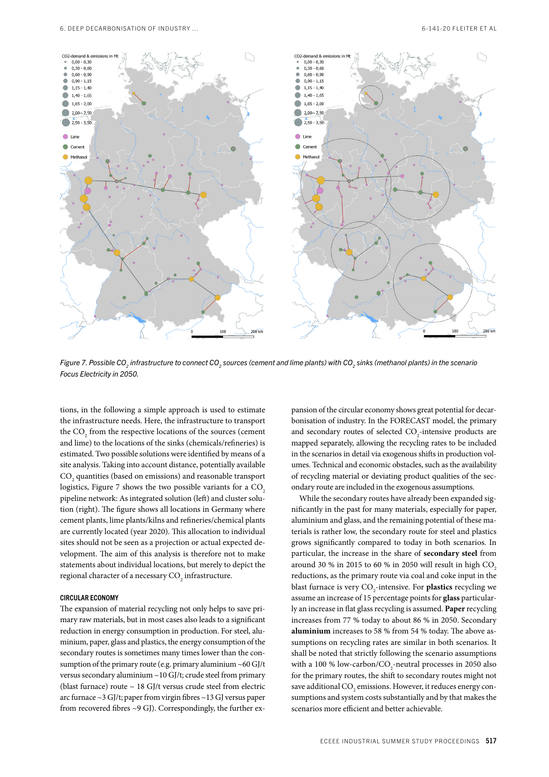

*Figure 7. Possible CO<sub>2</sub> infrastructure to connect CO<sub>2</sub> sources (cement and lime plants) with CO<sub>2</sub> sinks (methanol plants) in the scenario Focus Electricity in 2050.*

tions, in the following a simple approach is used to estimate the infrastructure needs. Here, the infrastructure to transport the  $\mathrm{CO}_2$  from the respective locations of the sources (cement and lime) to the locations of the sinks (chemicals/refineries) is estimated. Two possible solutions were identified by means of a site analysis. Taking into account distance, potentially available  $\mathrm{CO}_\mathrm{2}$  quantities (based on emissions) and reasonable transport logistics, Figure 7 shows the two possible variants for a CO<sub>2</sub> pipeline network: As integrated solution (left) and cluster solution (right). The figure shows all locations in Germany where cement plants, lime plants/kilns and refineries/chemical plants are currently located (year 2020). This allocation to individual sites should not be seen as a projection or actual expected development. The aim of this analysis is therefore not to make statements about individual locations, but merely to depict the regional character of a necessary  $\mathrm{CO}_2$  infrastructure.

#### CIRCULAR ECONOMY

The expansion of material recycling not only helps to save primary raw materials, but in most cases also leads to a significant reduction in energy consumption in production. For steel, aluminium, paper, glass and plastics, the energy consumption of the secondary routes is sometimes many times lower than the consumption of the primary route (e.g. primary aluminium  $~60$  GJ/t versus secondary aluminium ~10 GJ/t; crude steel from primary (blast furnace) route  $\sim 18$  GJ/t versus crude steel from electric arc furnace ~3 GJ/t; paper from virgin fibres ~13 GJ versus paper from recovered fibres ~9 GJ). Correspondingly, the further expansion of the circular economy shows great potential for decarbonisation of industry. In the FORECAST model, the primary and secondary routes of selected  $CO_2$ -intensive products are mapped separately, allowing the recycling rates to be included in the scenarios in detail via exogenous shifts in production volumes. Technical and economic obstacles, such as the availability of recycling material or deviating product qualities of the secondary route are included in the exogenous assumptions.

While the secondary routes have already been expanded significantly in the past for many materials, especially for paper, aluminium and glass, and the remaining potential of these materials is rather low, the secondary route for steel and plastics grows significantly compared to today in both scenarios. In particular, the increase in the share of **secondary steel** from around 30 % in 2015 to 60 % in 2050 will result in high  $CO<sub>2</sub>$ reductions, as the primary route via coal and coke input in the blast furnace is very CO<sub>2</sub>-intensive. For **plastics** recycling we assume an increase of 15 percentage points for **glass** particularly an increase in flat glass recycling is assumed. **Paper** recycling increases from 77 % today to about 86 % in 2050. Secondary **aluminium** increases to 58 % from 54 % today. The above assumptions on recycling rates are similar in both scenarios. It shall be noted that strictly following the scenario assumptions with a 100 % low-carbon/ $\text{CO}_2$ -neutral processes in 2050 also for the primary routes, the shift to secondary routes might not save additional  $\mathrm{CO}_\mathrm{2}$  emissions. However, it reduces energy consumptions and system costs substantially and by that makes the scenarios more efficient and better achievable.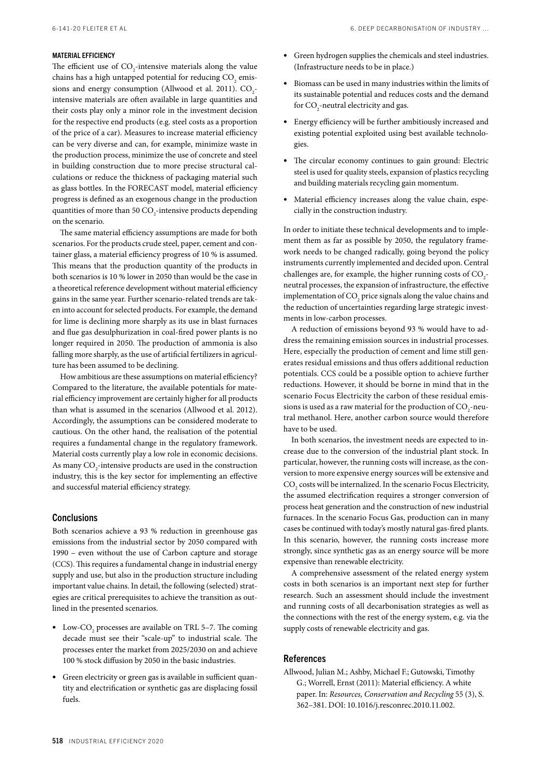# MATERIAL EFFICIENCY

The efficient use of  $CO_2$ -intensive materials along the value chains has a high untapped potential for reducing  $\mathrm{CO}_2^{\phantom{\dag}}$  emissions and energy consumption (Allwood et al. 2011).  $CO_2$ intensive materials are often available in large quantities and their costs play only a minor role in the investment decision for the respective end products (e.g. steel costs as a proportion of the price of a car). Measures to increase material efficiency can be very diverse and can, for example, minimize waste in the production process, minimize the use of concrete and steel in building construction due to more precise structural calculations or reduce the thickness of packaging material such as glass bottles. In the FORECAST model, material efficiency progress is defined as an exogenous change in the production quantities of more than 50  $\mathrm{CO}_2$ -intensive products depending on the scenario.

The same material efficiency assumptions are made for both scenarios. For the products crude steel, paper, cement and container glass, a material efficiency progress of 10 % is assumed. This means that the production quantity of the products in both scenarios is 10 % lower in 2050 than would be the case in a theoretical reference development without material efficiency gains in the same year. Further scenario-related trends are taken into account for selected products. For example, the demand for lime is declining more sharply as its use in blast furnaces and flue gas desulphurization in coal-fired power plants is no longer required in 2050. The production of ammonia is also falling more sharply, as the use of artificial fertilizers in agriculture has been assumed to be declining.

How ambitious are these assumptions on material efficiency? Compared to the literature, the available potentials for material efficiency improvement are certainly higher for all products than what is assumed in the scenarios (Allwood et al. 2012). Accordingly, the assumptions can be considered moderate to cautious. On the other hand, the realisation of the potential requires a fundamental change in the regulatory framework. Material costs currently play a low role in economic decisions. As many  $\mathrm{CO}_2$ -intensive products are used in the construction industry, this is the key sector for implementing an effective and successful material efficiency strategy.

#### **Conclusions**

Both scenarios achieve a 93 % reduction in greenhouse gas emissions from the industrial sector by 2050 compared with 1990 – even without the use of Carbon capture and storage (CCS). This requires a fundamental change in industrial energy supply and use, but also in the production structure including important value chains. In detail, the following (selected) strategies are critical prerequisites to achieve the transition as outlined in the presented scenarios.

- Low-CO<sub>2</sub> processes are available on TRL 5–7. The coming decade must see their "scale-up" to industrial scale. The processes enter the market from 2025/2030 on and achieve 100 % stock diffusion by 2050 in the basic industries.
- Green electricity or green gas is available in sufficient quantity and electrification or synthetic gas are displacing fossil fuels.
- Green hydrogen supplies the chemicals and steel industries. (Infrastructure needs to be in place.)
- Biomass can be used in many industries within the limits of its sustainable potential and reduces costs and the demand for  $CO_2$ -neutral electricity and gas.
- Energy efficiency will be further ambitiously increased and existing potential exploited using best available technologies.
- The circular economy continues to gain ground: Electric steel is used for quality steels, expansion of plastics recycling and building materials recycling gain momentum.
- Material efficiency increases along the value chain, especially in the construction industry.

In order to initiate these technical developments and to implement them as far as possible by 2050, the regulatory framework needs to be changed radically, going beyond the policy instruments currently implemented and decided upon. Central challenges are, for example, the higher running costs of  $CO_2$ neutral processes, the expansion of infrastructure, the effective implementation of  $\mathrm{CO}_2$  price signals along the value chains and the reduction of uncertainties regarding large strategic investments in low-carbon processes.

A reduction of emissions beyond 93 % would have to address the remaining emission sources in industrial processes. Here, especially the production of cement and lime still generates residual emissions and thus offers additional reduction potentials. CCS could be a possible option to achieve further reductions. However, it should be borne in mind that in the scenario Focus Electricity the carbon of these residual emissions is used as a raw material for the production of  $\mathrm{CO}_2$ -neutral methanol. Here, another carbon source would therefore have to be used.

In both scenarios, the investment needs are expected to increase due to the conversion of the industrial plant stock. In particular, however, the running costs will increase, as the conversion to more expensive energy sources will be extensive and  $\mathrm{CO}_\mathrm{2}$  costs will be internalized. In the scenario Focus Electricity, the assumed electrification requires a stronger conversion of process heat generation and the construction of new industrial furnaces. In the scenario Focus Gas, production can in many cases be continued with today's mostly natural gas-fired plants. In this scenario, however, the running costs increase more strongly, since synthetic gas as an energy source will be more expensive than renewable electricity.

A comprehensive assessment of the related energy system costs in both scenarios is an important next step for further research. Such an assessment should include the investment and running costs of all decarbonisation strategies as well as the connections with the rest of the energy system, e.g. via the supply costs of renewable electricity and gas.

#### References

Allwood, Julian M.; Ashby, Michael F.; Gutowski, Timothy G.; Worrell, Ernst (2011): Material efficiency. A white paper. In: *Resources, Conservation and Recycling* 55 (3), S. 362–381. DOI: 10.1016/j.resconrec.2010.11.002.